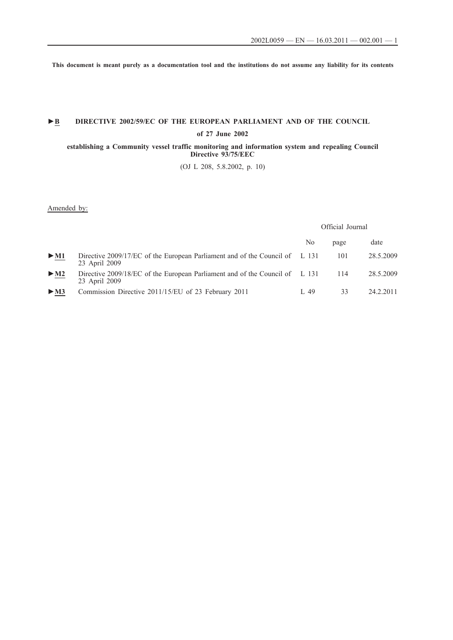**This document is meant purely as a documentation tool and the institutions do not assume any liability for its contents**

# ►**B** DIRECTIVE 2002/59/EC OF THE EUROPEAN PARLIAMENT AND OF THE COUNCIL

**of 27 June 2002**

**establishing a Community vessel traffic monitoring and information system and repealing Council Directive 93/75/EEC**

(OJ L 208, 5.8.2002, p. 10)

## Amended by:

|                                 |                                                                                              | Official Journal |      |           |
|---------------------------------|----------------------------------------------------------------------------------------------|------------------|------|-----------|
|                                 |                                                                                              | No               | page | date      |
| $\triangleright$ M1             | Directive 2009/17/EC of the European Parliament and of the Council of L 131<br>23 April 2009 |                  | 101  | 28.5.2009 |
| $\blacktriangleright$ <u>M2</u> | Directive 2009/18/EC of the European Parliament and of the Council of L 131<br>23 April 2009 |                  | 114  | 28.5.2009 |
| > M3                            | Commission Directive 2011/15/EU of 23 February 2011                                          | L49              | 33   | 24.2.2011 |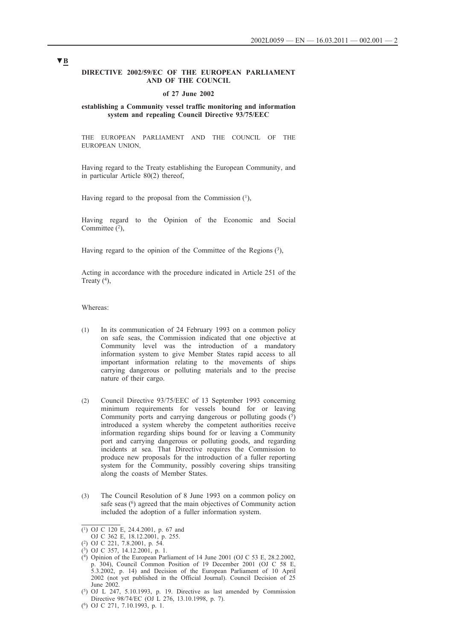### **DIRECTIVE 2002/59/EC OF THE EUROPEAN PARLIAMENT AND OF THE COUNCIL**

#### **of 27 June 2002**

## **establishing a Community vessel traffic monitoring and information system and repealing Council Directive 93/75/EEC**

THE EUROPEAN PARLIAMENT AND THE COUNCIL OF THE EUROPEAN UNION,

Having regard to the Treaty establishing the European Community, and in particular Article 80(2) thereof,

Having regard to the proposal from the Commission  $(1)$ ,

Having regard to the Opinion of the Economic and Social Committee  $(2)$ ,

Having regard to the opinion of the Committee of the Regions  $(3)$ ,

Acting in accordance with the procedure indicated in Article 251 of the Treaty  $(4)$ ,

Whereas:

- (1) In its communication of 24 February 1993 on a common policy on safe seas, the Commission indicated that one objective at Community level was the introduction of a mandatory information system to give Member States rapid access to all important information relating to the movements of ships carrying dangerous or polluting materials and to the precise nature of their cargo.
- (2) Council Directive 93/75/EEC of 13 September 1993 concerning minimum requirements for vessels bound for or leaving Community ports and carrying dangerous or polluting goods  $(5)$ introduced a system whereby the competent authorities receive information regarding ships bound for or leaving a Community port and carrying dangerous or polluting goods, and regarding incidents at sea. That Directive requires the Commission to produce new proposals for the introduction of a fuller reporting system for the Community, possibly covering ships transiting along the coasts of Member States.
- (3) The Council Resolution of 8 June 1993 on a common policy on safe seas (<sup>6</sup>) agreed that the main objectives of Community action included the adoption of a fuller information system.

<sup>(1)</sup> OJ C 120 E, 24.4.2001, p. 67 and

OJ C 362 E, 18.12.2001, p. 255.

<sup>(2)</sup> OJ C 221, 7.8.2001, p. 54.

<sup>(3)</sup> OJ C 357, 14.12.2001, p. 1.

<sup>(4)</sup> Opinion of the European Parliament of 14 June 2001 (OJ C 53 E, 28.2.2002, p. 304), Council Common Position of 19 December 2001 (OJ C 58 E, 5.3.2002, p. 14) and Decision of the European Parliament of 10 April 2002 (not yet published in the Official Journal). Council Decision of 25 June 2002.

<sup>(5)</sup> OJ L 247, 5.10.1993, p. 19. Directive as last amended by Commission Directive 98/74/EC (OJ L 276, 13.10.1998, p. 7).

<sup>(6)</sup> OJ C 271, 7.10.1993, p. 1.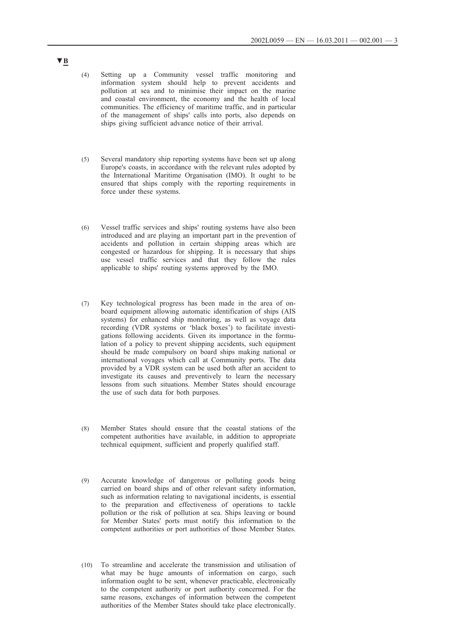- (4) Setting up a Community vessel traffic monitoring and information system should help to prevent accidents and pollution at sea and to minimise their impact on the marine and coastal environment, the economy and the health of local communities. The efficiency of maritime traffic, and in particular of the management of ships' calls into ports, also depends on ships giving sufficient advance notice of their arrival.
- (5) Several mandatory ship reporting systems have been set up along Europe's coasts, in accordance with the relevant rules adopted by the International Maritime Organisation (IMO). It ought to be ensured that ships comply with the reporting requirements in force under these systems.
- (6) Vessel traffic services and ships' routing systems have also been introduced and are playing an important part in the prevention of accidents and pollution in certain shipping areas which are congested or hazardous for shipping. It is necessary that ships use vessel traffic services and that they follow the rules applicable to ships' routing systems approved by the IMO.
- (7) Key technological progress has been made in the area of onboard equipment allowing automatic identification of ships (AIS systems) for enhanced ship monitoring, as well as voyage data recording (VDR systems or 'black boxes') to facilitate investigations following accidents. Given its importance in the formulation of a policy to prevent shipping accidents, such equipment should be made compulsory on board ships making national or international voyages which call at Community ports. The data provided by a VDR system can be used both after an accident to investigate its causes and preventively to learn the necessary lessons from such situations. Member States should encourage the use of such data for both purposes.
- (8) Member States should ensure that the coastal stations of the competent authorities have available, in addition to appropriate technical equipment, sufficient and properly qualified staff.
- (9) Accurate knowledge of dangerous or polluting goods being carried on board ships and of other relevant safety information, such as information relating to navigational incidents, is essential to the preparation and effectiveness of operations to tackle pollution or the risk of pollution at sea. Ships leaving or bound for Member States' ports must notify this information to the competent authorities or port authorities of those Member States.
- (10) To streamline and accelerate the transmission and utilisation of what may be huge amounts of information on cargo, such information ought to be sent, whenever practicable, electronically to the competent authority or port authority concerned. For the same reasons, exchanges of information between the competent authorities of the Member States should take place electronically.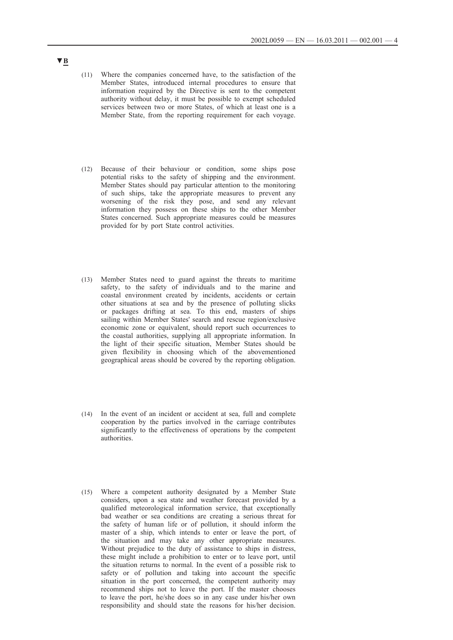- (11) Where the companies concerned have, to the satisfaction of the Member States, introduced internal procedures to ensure that information required by the Directive is sent to the competent authority without delay, it must be possible to exempt scheduled services between two or more States, of which at least one is a Member State, from the reporting requirement for each voyage.
- (12) Because of their behaviour or condition, some ships pose potential risks to the safety of shipping and the environment. Member States should pay particular attention to the monitoring of such ships, take the appropriate measures to prevent any worsening of the risk they pose, and send any relevant information they possess on these ships to the other Member States concerned. Such appropriate measures could be measures provided for by port State control activities.
- (13) Member States need to guard against the threats to maritime safety, to the safety of individuals and to the marine and coastal environment created by incidents, accidents or certain other situations at sea and by the presence of polluting slicks or packages drifting at sea. To this end, masters of ships sailing within Member States' search and rescue region/exclusive economic zone or equivalent, should report such occurrences to the coastal authorities, supplying all appropriate information. In the light of their specific situation, Member States should be given flexibility in choosing which of the abovementioned geographical areas should be covered by the reporting obligation.
- (14) In the event of an incident or accident at sea, full and complete cooperation by the parties involved in the carriage contributes significantly to the effectiveness of operations by the competent authorities.
- (15) Where a competent authority designated by a Member State considers, upon a sea state and weather forecast provided by a qualified meteorological information service, that exceptionally bad weather or sea conditions are creating a serious threat for the safety of human life or of pollution, it should inform the master of a ship, which intends to enter or leave the port, of the situation and may take any other appropriate measures. Without prejudice to the duty of assistance to ships in distress, these might include a prohibition to enter or to leave port, until the situation returns to normal. In the event of a possible risk to safety or of pollution and taking into account the specific situation in the port concerned, the competent authority may recommend ships not to leave the port. If the master chooses to leave the port, he/she does so in any case under his/her own responsibility and should state the reasons for his/her decision.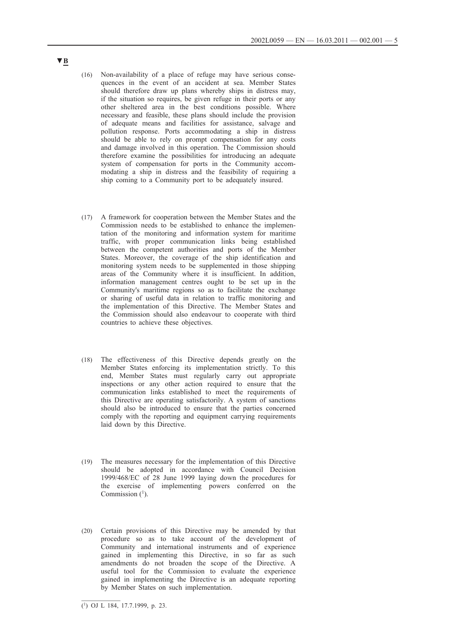- (16) Non-availability of a place of refuge may have serious consequences in the event of an accident at sea. Member States should therefore draw up plans whereby ships in distress may, if the situation so requires, be given refuge in their ports or any other sheltered area in the best conditions possible. Where necessary and feasible, these plans should include the provision of adequate means and facilities for assistance, salvage and pollution response. Ports accommodating a ship in distress should be able to rely on prompt compensation for any costs and damage involved in this operation. The Commission should therefore examine the possibilities for introducing an adequate system of compensation for ports in the Community accommodating a ship in distress and the feasibility of requiring a ship coming to a Community port to be adequately insured.
- (17) A framework for cooperation between the Member States and the Commission needs to be established to enhance the implementation of the monitoring and information system for maritime traffic, with proper communication links being established between the competent authorities and ports of the Member States. Moreover, the coverage of the ship identification and monitoring system needs to be supplemented in those shipping areas of the Community where it is insufficient. In addition, information management centres ought to be set up in the Community's maritime regions so as to facilitate the exchange or sharing of useful data in relation to traffic monitoring and the implementation of this Directive. The Member States and the Commission should also endeavour to cooperate with third countries to achieve these objectives.
- (18) The effectiveness of this Directive depends greatly on the Member States enforcing its implementation strictly. To this end, Member States must regularly carry out appropriate inspections or any other action required to ensure that the communication links established to meet the requirements of this Directive are operating satisfactorily. A system of sanctions should also be introduced to ensure that the parties concerned comply with the reporting and equipment carrying requirements laid down by this Directive.
- (19) The measures necessary for the implementation of this Directive should be adopted in accordance with Council Decision 1999/468/EC of 28 June 1999 laying down the procedures for the exercise of implementing powers conferred on the Commission (1).
- (20) Certain provisions of this Directive may be amended by that procedure so as to take account of the development of Community and international instruments and of experience gained in implementing this Directive, in so far as such amendments do not broaden the scope of the Directive. A useful tool for the Commission to evaluate the experience gained in implementing the Directive is an adequate reporting by Member States on such implementation.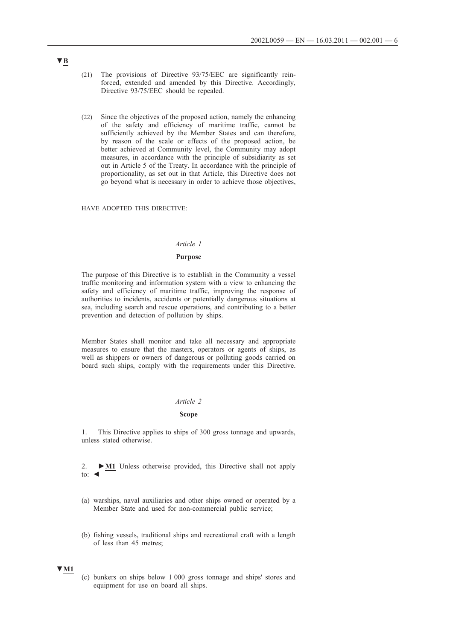- (21) The provisions of Directive 93/75/EEC are significantly reinforced, extended and amended by this Directive. Accordingly, Directive 93/75/EEC should be repealed.
- (22) Since the objectives of the proposed action, namely the enhancing of the safety and efficiency of maritime traffic, cannot be sufficiently achieved by the Member States and can therefore, by reason of the scale or effects of the proposed action, be better achieved at Community level, the Community may adopt measures, in accordance with the principle of subsidiarity as set out in Article 5 of the Treaty. In accordance with the principle of proportionality, as set out in that Article, this Directive does not go beyond what is necessary in order to achieve those objectives,

HAVE ADOPTED THIS DIRECTIVE:

## *Article 1*

## **Purpose**

The purpose of this Directive is to establish in the Community a vessel traffic monitoring and information system with a view to enhancing the safety and efficiency of maritime traffic, improving the response of authorities to incidents, accidents or potentially dangerous situations at sea, including search and rescue operations, and contributing to a better prevention and detection of pollution by ships.

Member States shall monitor and take all necessary and appropriate measures to ensure that the masters, operators or agents of ships, as well as shippers or owners of dangerous or polluting goods carried on board such ships, comply with the requirements under this Directive.

### *Article 2*

#### **Scope**

1. This Directive applies to ships of 300 gross tonnage and upwards, unless stated otherwise.

2. **►M1** Unless otherwise provided, this Directive shall not apply to:  $\blacktriangleleft$ 

- (a) warships, naval auxiliaries and other ships owned or operated by a Member State and used for non-commercial public service;
- (b) fishing vessels, traditional ships and recreational craft with a length of less than 45 metres;

## **▼M1**

(c) bunkers on ships below 1 000 gross tonnage and ships' stores and equipment for use on board all ships.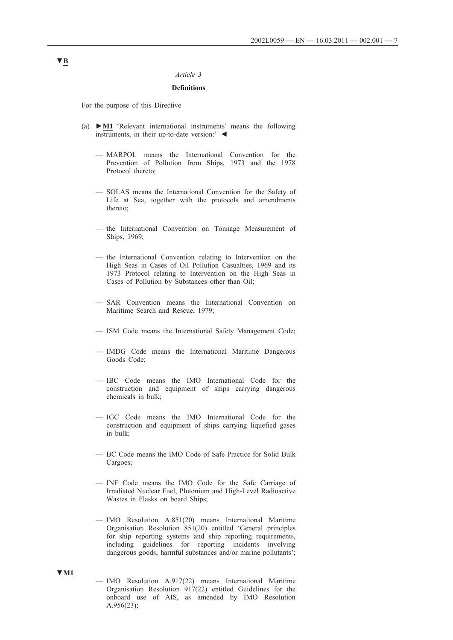### *Article 3*

## **Definitions**

For the purpose of this Directive

- (a) **►M1** 'Relevant international instruments' means the following instruments, in their up-to-date version:' ◄
	- MARPOL means the International Convention for the Prevention of Pollution from Ships, 1973 and the 1978 Protocol thereto;
	- SOLAS means the International Convention for the Safety of Life at Sea, together with the protocols and amendments thereto;
	- the International Convention on Tonnage Measurement of Ships, 1969;
	- the International Convention relating to Intervention on the High Seas in Cases of Oil Pollution Casualties, 1969 and its 1973 Protocol relating to Intervention on the High Seas in Cases of Pollution by Substances other than Oil;
	- SAR Convention means the International Convention on Maritime Search and Rescue, 1979;
	- ISM Code means the International Safety Management Code;
	- IMDG Code means the International Maritime Dangerous Goods Code;
	- IBC Code means the IMO International Code for the construction and equipment of ships carrying dangerous chemicals in bulk;
	- IGC Code means the IMO International Code for the construction and equipment of ships carrying liquefied gases in bulk;
	- BC Code means the IMO Code of Safe Practice for Solid Bulk Cargoes;
	- INF Code means the IMO Code for the Safe Carriage of Irradiated Nuclear Fuel, Plutonium and High-Level Radioactive Wastes in Flasks on board Ships;
	- IMO Resolution A.851(20) means International Maritime Organisation Resolution 851(20) entitled 'General principles for ship reporting systems and ship reporting requirements, including guidelines for reporting incidents involving dangerous goods, harmful substances and/or marine pollutants';
- **▼M1**
- IMO Resolution A.917(22) means International Maritime Organisation Resolution 917(22) entitled Guidelines for the onboard use of AIS, as amended by IMO Resolution A.956(23);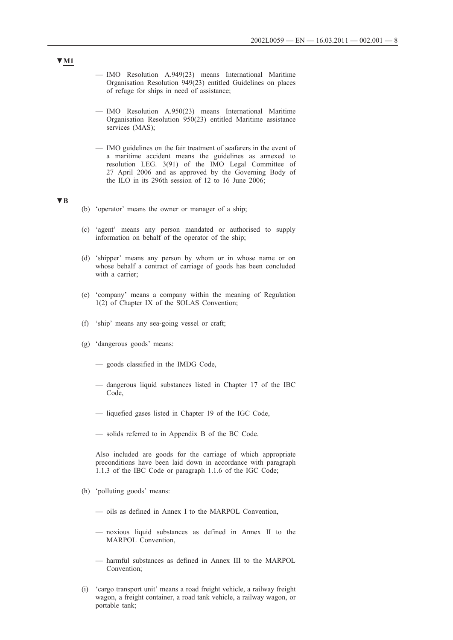- IMO Resolution A.949(23) means International Maritime Organisation Resolution 949(23) entitled Guidelines on places of refuge for ships in need of assistance;
- IMO Resolution A.950(23) means International Maritime Organisation Resolution 950(23) entitled Maritime assistance services (MAS);
- IMO guidelines on the fair treatment of seafarers in the event of a maritime accident means the guidelines as annexed to resolution LEG. 3(91) of the IMO Legal Committee of 27 April 2006 and as approved by the Governing Body of the ILO in its 296th session of 12 to 16 June 2006;

- (b) 'operator' means the owner or manager of a ship;
- (c) 'agent' means any person mandated or authorised to supply information on behalf of the operator of the ship;
- (d) 'shipper' means any person by whom or in whose name or on whose behalf a contract of carriage of goods has been concluded with a carrier;
- (e) 'company' means a company within the meaning of Regulation 1(2) of Chapter IX of the SOLAS Convention;
- (f) 'ship' means any sea-going vessel or craft;
- (g) 'dangerous goods' means:
	- goods classified in the IMDG Code,
	- dangerous liquid substances listed in Chapter 17 of the IBC Code,
	- liquefied gases listed in Chapter 19 of the IGC Code,
	- solids referred to in Appendix B of the BC Code.

Also included are goods for the carriage of which appropriate preconditions have been laid down in accordance with paragraph 1.1.3 of the IBC Code or paragraph 1.1.6 of the IGC Code;

- (h) 'polluting goods' means:
	- oils as defined in Annex I to the MARPOL Convention,
	- noxious liquid substances as defined in Annex II to the MARPOL Convention,
	- harmful substances as defined in Annex III to the MARPOL Convention;
- (i) 'cargo transport unit' means a road freight vehicle, a railway freight wagon, a freight container, a road tank vehicle, a railway wagon, or portable tank;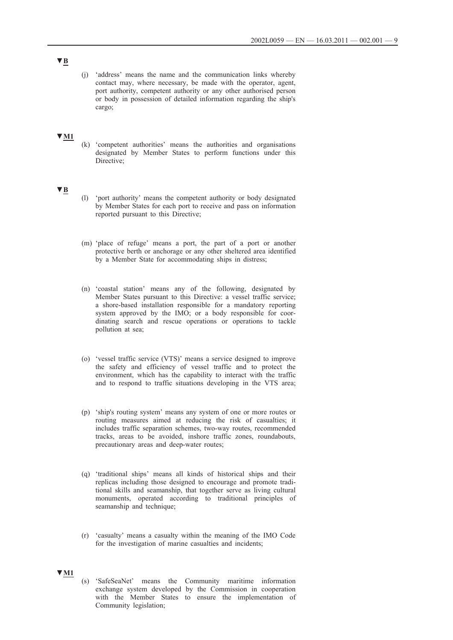(j) 'address' means the name and the communication links whereby contact may, where necessary, be made with the operator, agent, port authority, competent authority or any other authorised person or body in possession of detailed information regarding the ship's cargo;

## **▼M1**

(k) 'competent authorities' means the authorities and organisations designated by Member States to perform functions under this Directive;

## **▼B**

- (l) 'port authority' means the competent authority or body designated by Member States for each port to receive and pass on information reported pursuant to this Directive;
- (m) 'place of refuge' means a port, the part of a port or another protective berth or anchorage or any other sheltered area identified by a Member State for accommodating ships in distress;
- (n) 'coastal station' means any of the following, designated by Member States pursuant to this Directive: a vessel traffic service; a shore-based installation responsible for a mandatory reporting system approved by the IMO; or a body responsible for coordinating search and rescue operations or operations to tackle pollution at sea;
- (o) 'vessel traffic service (VTS)' means a service designed to improve the safety and efficiency of vessel traffic and to protect the environment, which has the capability to interact with the traffic and to respond to traffic situations developing in the VTS area;
- (p) 'ship's routing system' means any system of one or more routes or routing measures aimed at reducing the risk of casualties; it includes traffic separation schemes, two-way routes, recommended tracks, areas to be avoided, inshore traffic zones, roundabouts, precautionary areas and deep-water routes;
- (q) 'traditional ships' means all kinds of historical ships and their replicas including those designed to encourage and promote traditional skills and seamanship, that together serve as living cultural monuments, operated according to traditional principles of seamanship and technique;
- (r) 'casualty' means a casualty within the meaning of the IMO Code for the investigation of marine casualties and incidents;

## **▼M1**

(s) 'SafeSeaNet' means the Community maritime information exchange system developed by the Commission in cooperation with the Member States to ensure the implementation of Community legislation;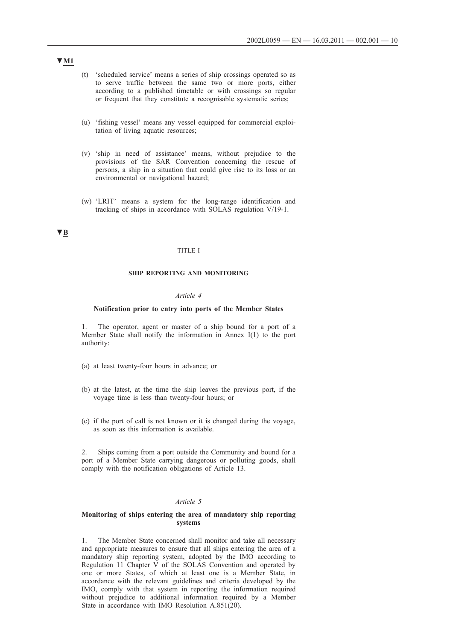- (t) 'scheduled service' means a series of ship crossings operated so as to serve traffic between the same two or more ports, either according to a published timetable or with crossings so regular or frequent that they constitute a recognisable systematic series;
- (u) 'fishing vessel' means any vessel equipped for commercial exploitation of living aquatic resources;
- (v) 'ship in need of assistance' means, without prejudice to the provisions of the SAR Convention concerning the rescue of persons, a ship in a situation that could give rise to its loss or an environmental or navigational hazard;
- (w) 'LRIT' means a system for the long-range identification and tracking of ships in accordance with SOLAS regulation V/19-1.

#### TITLE I

## **SHIP REPORTING AND MONITORING**

## *Article 4*

#### **Notification prior to entry into ports of the Member States**

The operator, agent or master of a ship bound for a port of a Member State shall notify the information in Annex I(1) to the port authority:

- (a) at least twenty-four hours in advance; or
- (b) at the latest, at the time the ship leaves the previous port, if the voyage time is less than twenty-four hours; or
- (c) if the port of call is not known or it is changed during the voyage, as soon as this information is available.

2. Ships coming from a port outside the Community and bound for a port of a Member State carrying dangerous or polluting goods, shall comply with the notification obligations of Article 13.

### *Article 5*

### **Monitoring of ships entering the area of mandatory ship reporting systems**

1. The Member State concerned shall monitor and take all necessary and appropriate measures to ensure that all ships entering the area of a mandatory ship reporting system, adopted by the IMO according to Regulation 11 Chapter V of the SOLAS Convention and operated by one or more States, of which at least one is a Member State, in accordance with the relevant guidelines and criteria developed by the IMO, comply with that system in reporting the information required without prejudice to additional information required by a Member State in accordance with IMO Resolution A.851(20).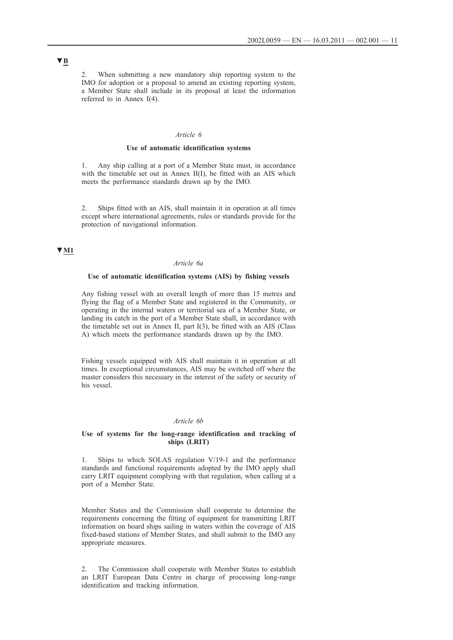When submitting a new mandatory ship reporting system to the IMO for adoption or a proposal to amend an existing reporting system, a Member State shall include in its proposal at least the information referred to in Annex I(4).

### *Article 6*

## **Use of automatic identification systems**

1. Any ship calling at a port of a Member State must, in accordance with the timetable set out in Annex II(I), be fitted with an AIS which meets the performance standards drawn up by the IMO.

2. Ships fitted with an AIS, shall maintain it in operation at all times except where international agreements, rules or standards provide for the protection of navigational information.

## **▼M1**

## *Article 6a*

#### **Use of automatic identification systems (AIS) by fishing vessels**

Any fishing vessel with an overall length of more than 15 metres and flying the flag of a Member State and registered in the Community, or operating in the internal waters or territorial sea of a Member State, or landing its catch in the port of a Member State shall, in accordance with the timetable set out in Annex II, part I(3), be fitted with an AIS (Class A) which meets the performance standards drawn up by the IMO.

Fishing vessels equipped with AIS shall maintain it in operation at all times. In exceptional circumstances, AIS may be switched off where the master considers this necessary in the interest of the safety or security of his vessel.

### *Article 6b*

## **Use of systems for the long-range identification and tracking of ships (LRIT)**

1. Ships to which SOLAS regulation V/19-1 and the performance standards and functional requirements adopted by the IMO apply shall carry LRIT equipment complying with that regulation, when calling at a port of a Member State.

Member States and the Commission shall cooperate to determine the requirements concerning the fitting of equipment for transmitting LRIT information on board ships sailing in waters within the coverage of AIS fixed-based stations of Member States, and shall submit to the IMO any appropriate measures.

2. The Commission shall cooperate with Member States to establish an LRIT European Data Centre in charge of processing long-range identification and tracking information.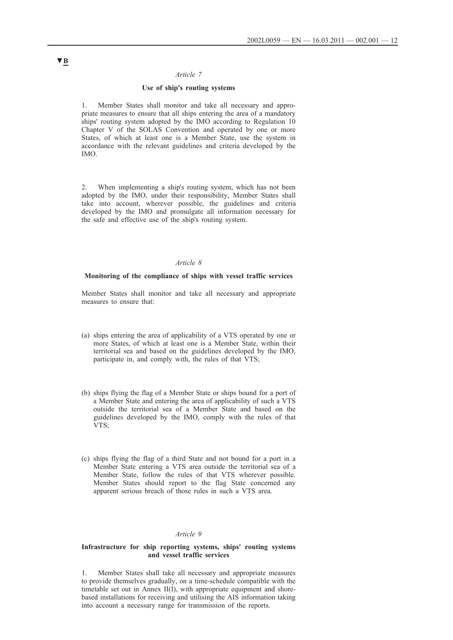### *Article 7*

## **Use of ship's routing systems**

1. Member States shall monitor and take all necessary and appropriate measures to ensure that all ships entering the area of a mandatory ships' routing system adopted by the IMO according to Regulation 10 Chapter V of the SOLAS Convention and operated by one or more States, of which at least one is a Member State, use the system in accordance with the relevant guidelines and criteria developed by the IMO.

When implementing a ship's routing system, which has not been adopted by the IMO, under their responsibility, Member States shall take into account, wherever possible, the guidelines and criteria developed by the IMO and promulgate all information necessary for the safe and effective use of the ship's routing system.

## *Article 8*

### **Monitoring of the compliance of ships with vessel traffic services**

Member States shall monitor and take all necessary and appropriate measures to ensure that:

- (a) ships entering the area of applicability of a VTS operated by one or more States, of which at least one is a Member State, within their territorial sea and based on the guidelines developed by the IMO, participate in, and comply with, the rules of that VTS;
- (b) ships flying the flag of a Member State or ships bound for a port of a Member State and entering the area of applicability of such a VTS outside the territorial sea of a Member State and based on the guidelines developed by the IMO, comply with the rules of that VTS;
- (c) ships flying the flag of a third State and not bound for a port in a Member State entering a VTS area outside the territorial sea of a Member State, follow the rules of that VTS wherever possible. Member States should report to the flag State concerned any apparent serious breach of those rules in such a VTS area.

### *Article 9*

### **Infrastructure for ship reporting systems, ships' routing systems and vessel traffic services**

1. Member States shall take all necessary and appropriate measures to provide themselves gradually, on a time-schedule compatible with the timetable set out in Annex II(I), with appropriate equipment and shorebased installations for receiving and utilising the AIS information taking into account a necessary range for transmission of the reports.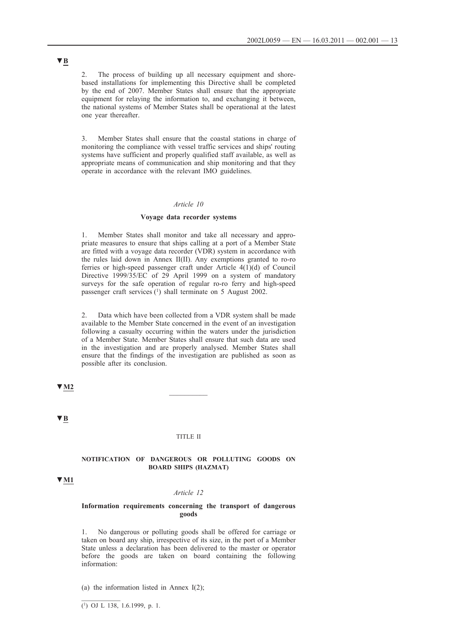2. The process of building up all necessary equipment and shorebased installations for implementing this Directive shall be completed by the end of 2007. Member States shall ensure that the appropriate equipment for relaying the information to, and exchanging it between, the national systems of Member States shall be operational at the latest one year thereafter.

3. Member States shall ensure that the coastal stations in charge of monitoring the compliance with vessel traffic services and ships' routing systems have sufficient and properly qualified staff available, as well as appropriate means of communication and ship monitoring and that they operate in accordance with the relevant IMO guidelines.

## *Article 10*

#### **Voyage data recorder systems**

1. Member States shall monitor and take all necessary and appropriate measures to ensure that ships calling at a port of a Member State are fitted with a voyage data recorder (VDR) system in accordance with the rules laid down in Annex II(II). Any exemptions granted to ro-ro ferries or high-speed passenger craft under Article 4(1)(d) of Council Directive 1999/35/EC of 29 April 1999 on a system of mandatory surveys for the safe operation of regular ro-ro ferry and high-speed passenger craft services  $(1)$  shall terminate on 5 August 2002.

2. Data which have been collected from a VDR system shall be made available to the Member State concerned in the event of an investigation following a casualty occurring within the waters under the jurisdiction of a Member State. Member States shall ensure that such data are used in the investigation and are properly analysed. Member States shall ensure that the findings of the investigation are published as soon as possible after its conclusion.

## **▼M2** \_\_\_\_\_\_\_\_\_\_

**▼B**

#### TITLE II

## **NOTIFICATION OF DANGEROUS OR POLLUTING GOODS ON BOARD SHIPS (HAZMAT)**

**▼M1**

#### *Article 12*

### **Information requirements concerning the transport of dangerous goods**

1. No dangerous or polluting goods shall be offered for carriage or taken on board any ship, irrespective of its size, in the port of a Member State unless a declaration has been delivered to the master or operator before the goods are taken on board containing the following information:

(a) the information listed in Annex I(2);

## $\overline{(^1)}$  OJ L 138, 1.6.1999, p. 1.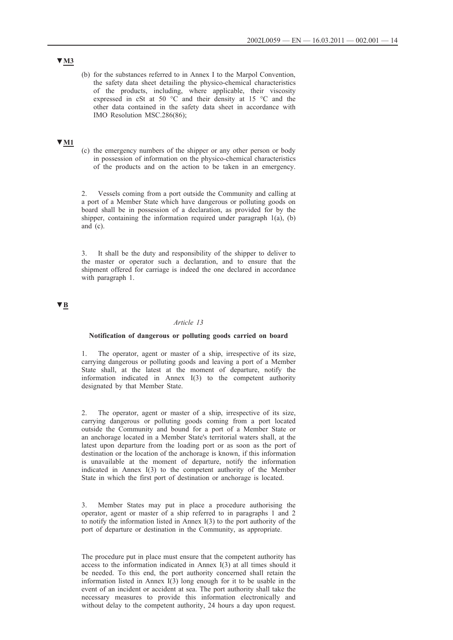(b) for the substances referred to in Annex I to the Marpol Convention, the safety data sheet detailing the physico-chemical characteristics of the products, including, where applicable, their viscosity expressed in cSt at 50 °C and their density at 15 °C and the other data contained in the safety data sheet in accordance with IMO Resolution MSC.286(86);

## **▼M1**

(c) the emergency numbers of the shipper or any other person or body in possession of information on the physico-chemical characteristics of the products and on the action to be taken in an emergency.

2. Vessels coming from a port outside the Community and calling at a port of a Member State which have dangerous or polluting goods on board shall be in possession of a declaration, as provided for by the shipper, containing the information required under paragraph 1(a), (b) and (c).

3. It shall be the duty and responsibility of the shipper to deliver to the master or operator such a declaration, and to ensure that the shipment offered for carriage is indeed the one declared in accordance with paragraph 1.

**▼B**

## *Article 13*

#### **Notification of dangerous or polluting goods carried on board**

1. The operator, agent or master of a ship, irrespective of its size, carrying dangerous or polluting goods and leaving a port of a Member State shall, at the latest at the moment of departure, notify the information indicated in Annex I(3) to the competent authority designated by that Member State.

2. The operator, agent or master of a ship, irrespective of its size, carrying dangerous or polluting goods coming from a port located outside the Community and bound for a port of a Member State or an anchorage located in a Member State's territorial waters shall, at the latest upon departure from the loading port or as soon as the port of destination or the location of the anchorage is known, if this information is unavailable at the moment of departure, notify the information indicated in Annex I(3) to the competent authority of the Member State in which the first port of destination or anchorage is located.

3. Member States may put in place a procedure authorising the operator, agent or master of a ship referred to in paragraphs 1 and 2 to notify the information listed in Annex I(3) to the port authority of the port of departure or destination in the Community, as appropriate.

The procedure put in place must ensure that the competent authority has access to the information indicated in Annex I(3) at all times should it be needed. To this end, the port authority concerned shall retain the information listed in Annex I(3) long enough for it to be usable in the event of an incident or accident at sea. The port authority shall take the necessary measures to provide this information electronically and without delay to the competent authority, 24 hours a day upon request.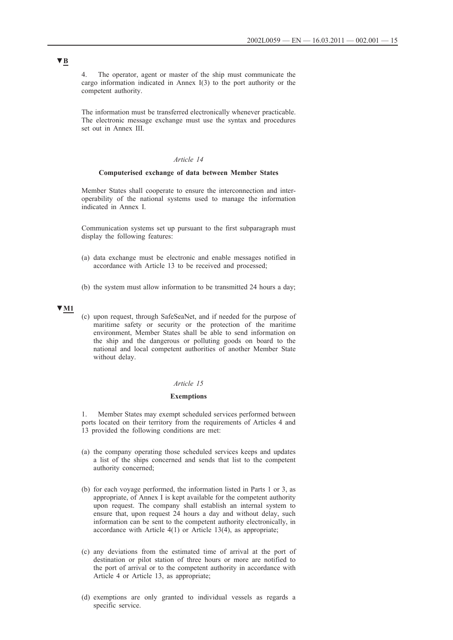4. The operator, agent or master of the ship must communicate the cargo information indicated in Annex I(3) to the port authority or the competent authority.

The information must be transferred electronically whenever practicable. The electronic message exchange must use the syntax and procedures set out in Annex III.

### *Article 14*

### **Computerised exchange of data between Member States**

Member States shall cooperate to ensure the interconnection and interoperability of the national systems used to manage the information indicated in Annex I.

Communication systems set up pursuant to the first subparagraph must display the following features:

- (a) data exchange must be electronic and enable messages notified in accordance with Article 13 to be received and processed;
- (b) the system must allow information to be transmitted 24 hours a day;

#### **▼M1**

(c) upon request, through SafeSeaNet, and if needed for the purpose of maritime safety or security or the protection of the maritime environment, Member States shall be able to send information on the ship and the dangerous or polluting goods on board to the national and local competent authorities of another Member State without delay.

### *Article 15*

### **Exemptions**

1. Member States may exempt scheduled services performed between ports located on their territory from the requirements of Articles 4 and 13 provided the following conditions are met:

- (a) the company operating those scheduled services keeps and updates a list of the ships concerned and sends that list to the competent authority concerned;
- (b) for each voyage performed, the information listed in Parts 1 or 3, as appropriate, of Annex I is kept available for the competent authority upon request. The company shall establish an internal system to ensure that, upon request 24 hours a day and without delay, such information can be sent to the competent authority electronically, in accordance with Article 4(1) or Article 13(4), as appropriate;
- (c) any deviations from the estimated time of arrival at the port of destination or pilot station of three hours or more are notified to the port of arrival or to the competent authority in accordance with Article 4 or Article 13, as appropriate;
- (d) exemptions are only granted to individual vessels as regards a specific service.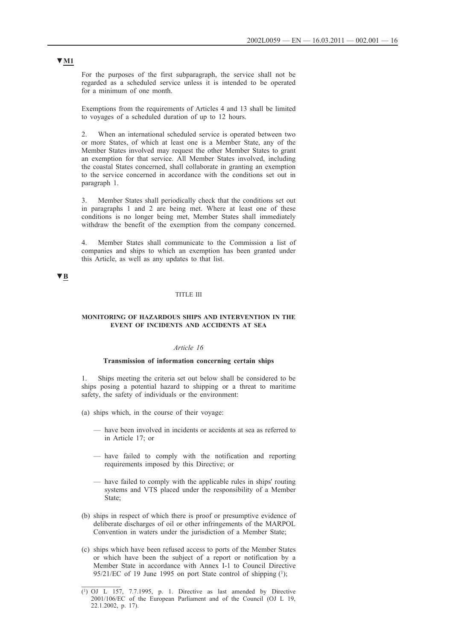For the purposes of the first subparagraph, the service shall not be regarded as a scheduled service unless it is intended to be operated for a minimum of one month.

Exemptions from the requirements of Articles 4 and 13 shall be limited to voyages of a scheduled duration of up to 12 hours.

2. When an international scheduled service is operated between two or more States, of which at least one is a Member State, any of the Member States involved may request the other Member States to grant an exemption for that service. All Member States involved, including the coastal States concerned, shall collaborate in granting an exemption to the service concerned in accordance with the conditions set out in paragraph 1.

3. Member States shall periodically check that the conditions set out in paragraphs 1 and 2 are being met. Where at least one of these conditions is no longer being met, Member States shall immediately withdraw the benefit of the exemption from the company concerned.

4. Member States shall communicate to the Commission a list of companies and ships to which an exemption has been granted under this Article, as well as any updates to that list.

### **▼B**

### TITLE III

## **MONITORING OF HAZARDOUS SHIPS AND INTERVENTION IN THE EVENT OF INCIDENTS AND ACCIDENTS AT SEA**

## *Article 16*

## **Transmission of information concerning certain ships**

Ships meeting the criteria set out below shall be considered to be ships posing a potential hazard to shipping or a threat to maritime safety, the safety of individuals or the environment:

- (a) ships which, in the course of their voyage:
	- have been involved in incidents or accidents at sea as referred to in Article 17; or
	- have failed to comply with the notification and reporting requirements imposed by this Directive; or
	- have failed to comply with the applicable rules in ships' routing systems and VTS placed under the responsibility of a Member State;
- (b) ships in respect of which there is proof or presumptive evidence of deliberate discharges of oil or other infringements of the MARPOL Convention in waters under the jurisdiction of a Member State;
- (c) ships which have been refused access to ports of the Member States or which have been the subject of a report or notification by a Member State in accordance with Annex I-1 to Council Directive 95/21/EC of 19 June 1995 on port State control of shipping (1);

<sup>(1)</sup> OJ L 157, 7.7.1995, p. 1. Directive as last amended by Directive 2001/106/EC of the European Parliament and of the Council (OJ L 19, 22.1.2002, p. 17).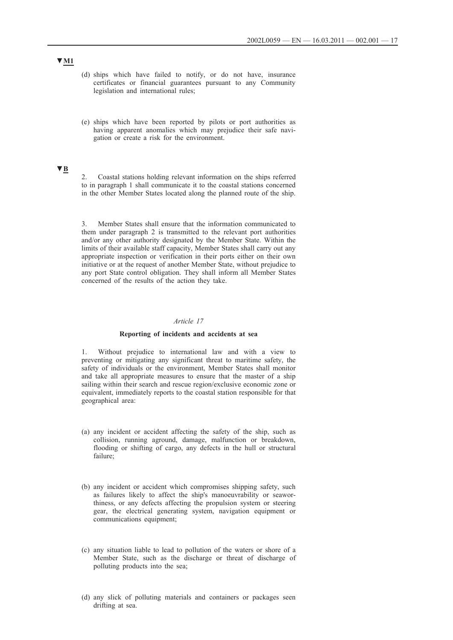- (d) ships which have failed to notify, or do not have, insurance certificates or financial guarantees pursuant to any Community legislation and international rules;
- (e) ships which have been reported by pilots or port authorities as having apparent anomalies which may prejudice their safe navigation or create a risk for the environment.

2. Coastal stations holding relevant information on the ships referred to in paragraph 1 shall communicate it to the coastal stations concerned in the other Member States located along the planned route of the ship.

3. Member States shall ensure that the information communicated to them under paragraph 2 is transmitted to the relevant port authorities and/or any other authority designated by the Member State. Within the limits of their available staff capacity, Member States shall carry out any appropriate inspection or verification in their ports either on their own initiative or at the request of another Member State, without prejudice to any port State control obligation. They shall inform all Member States concerned of the results of the action they take.

### *Article 17*

#### **Reporting of incidents and accidents at sea**

Without prejudice to international law and with a view to preventing or mitigating any significant threat to maritime safety, the safety of individuals or the environment, Member States shall monitor and take all appropriate measures to ensure that the master of a ship sailing within their search and rescue region/exclusive economic zone or equivalent, immediately reports to the coastal station responsible for that geographical area:

- (a) any incident or accident affecting the safety of the ship, such as collision, running aground, damage, malfunction or breakdown, flooding or shifting of cargo, any defects in the hull or structural failure;
- (b) any incident or accident which compromises shipping safety, such as failures likely to affect the ship's manoeuvrability or seaworthiness, or any defects affecting the propulsion system or steering gear, the electrical generating system, navigation equipment or communications equipment;
- (c) any situation liable to lead to pollution of the waters or shore of a Member State, such as the discharge or threat of discharge of polluting products into the sea;
- (d) any slick of polluting materials and containers or packages seen drifting at sea.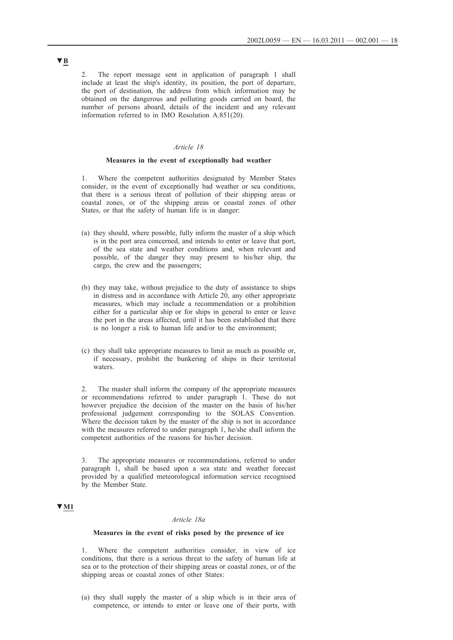2. The report message sent in application of paragraph 1 shall include at least the ship's identity, its position, the port of departure, the port of destination, the address from which information may be obtained on the dangerous and polluting goods carried on board, the number of persons aboard, details of the incident and any relevant information referred to in IMO Resolution A.851(20).

## *Article 18*

## **Measures in the event of exceptionally bad weather**

1. Where the competent authorities designated by Member States consider, in the event of exceptionally bad weather or sea conditions, that there is a serious threat of pollution of their shipping areas or coastal zones, or of the shipping areas or coastal zones of other States, or that the safety of human life is in danger:

- (a) they should, where possible, fully inform the master of a ship which is in the port area concerned, and intends to enter or leave that port, of the sea state and weather conditions and, when relevant and possible, of the danger they may present to his/her ship, the cargo, the crew and the passengers;
- (b) they may take, without prejudice to the duty of assistance to ships in distress and in accordance with Article 20, any other appropriate measures, which may include a recommendation or a prohibition either for a particular ship or for ships in general to enter or leave the port in the areas affected, until it has been established that there is no longer a risk to human life and/or to the environment;
- (c) they shall take appropriate measures to limit as much as possible or, if necessary, prohibit the bunkering of ships in their territorial waters.

2. The master shall inform the company of the appropriate measures or recommendations referred to under paragraph 1. These do not however prejudice the decision of the master on the basis of his/her professional judgement corresponding to the SOLAS Convention. Where the decision taken by the master of the ship is not in accordance with the measures referred to under paragraph 1, he/she shall inform the competent authorities of the reasons for his/her decision.

The appropriate measures or recommendations, referred to under paragraph 1, shall be based upon a sea state and weather forecast provided by a qualified meteorological information service recognised by the Member State.

## **▼M1**

## *Article 18a*

#### **Measures in the event of risks posed by the presence of ice**

1. Where the competent authorities consider, in view of ice conditions, that there is a serious threat to the safety of human life at sea or to the protection of their shipping areas or coastal zones, or of the shipping areas or coastal zones of other States:

(a) they shall supply the master of a ship which is in their area of competence, or intends to enter or leave one of their ports, with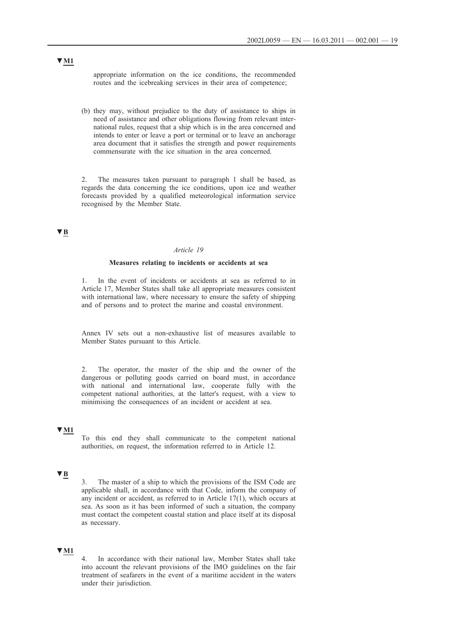appropriate information on the ice conditions, the recommended routes and the icebreaking services in their area of competence;

(b) they may, without prejudice to the duty of assistance to ships in need of assistance and other obligations flowing from relevant international rules, request that a ship which is in the area concerned and intends to enter or leave a port or terminal or to leave an anchorage area document that it satisfies the strength and power requirements commensurate with the ice situation in the area concerned.

2. The measures taken pursuant to paragraph 1 shall be based, as regards the data concerning the ice conditions, upon ice and weather forecasts provided by a qualified meteorological information service recognised by the Member State.

## **▼B**

## *Article 19*

## **Measures relating to incidents or accidents at sea**

1. In the event of incidents or accidents at sea as referred to in Article 17, Member States shall take all appropriate measures consistent with international law, where necessary to ensure the safety of shipping and of persons and to protect the marine and coastal environment.

Annex IV sets out a non-exhaustive list of measures available to Member States pursuant to this Article.

2. The operator, the master of the ship and the owner of the dangerous or polluting goods carried on board must, in accordance with national and international law, cooperate fully with the competent national authorities, at the latter's request, with a view to minimising the consequences of an incident or accident at sea.

## **▼M1**

To this end they shall communicate to the competent national authorities, on request, the information referred to in Article 12.

## **▼B**

3. The master of a ship to which the provisions of the ISM Code are applicable shall, in accordance with that Code, inform the company of any incident or accident, as referred to in Article 17(1), which occurs at sea. As soon as it has been informed of such a situation, the company must contact the competent coastal station and place itself at its disposal as necessary.

## **▼M1**

4. In accordance with their national law, Member States shall take into account the relevant provisions of the IMO guidelines on the fair treatment of seafarers in the event of a maritime accident in the waters under their jurisdiction.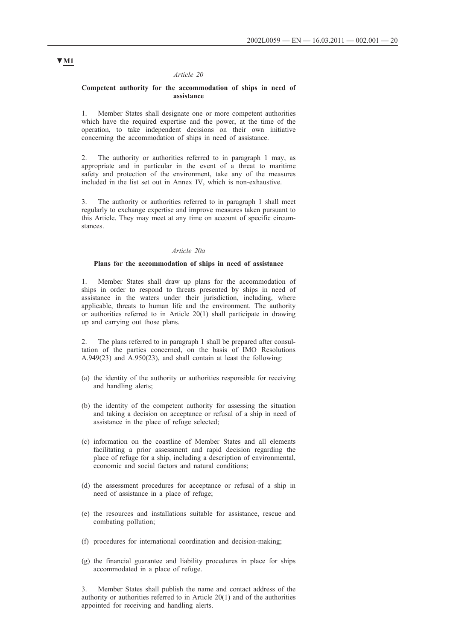### *Article 20*

### **Competent authority for the accommodation of ships in need of assistance**

1. Member States shall designate one or more competent authorities which have the required expertise and the power, at the time of the operation, to take independent decisions on their own initiative concerning the accommodation of ships in need of assistance.

2. The authority or authorities referred to in paragraph 1 may, as appropriate and in particular in the event of a threat to maritime safety and protection of the environment, take any of the measures included in the list set out in Annex IV, which is non-exhaustive.

3. The authority or authorities referred to in paragraph 1 shall meet regularly to exchange expertise and improve measures taken pursuant to this Article. They may meet at any time on account of specific circumstances.

## *Article 20a*

### **Plans for the accommodation of ships in need of assistance**

1. Member States shall draw up plans for the accommodation of ships in order to respond to threats presented by ships in need of assistance in the waters under their jurisdiction, including, where applicable, threats to human life and the environment. The authority or authorities referred to in Article 20(1) shall participate in drawing up and carrying out those plans.

2. The plans referred to in paragraph 1 shall be prepared after consultation of the parties concerned, on the basis of IMO Resolutions A.949(23) and A.950(23), and shall contain at least the following:

- (a) the identity of the authority or authorities responsible for receiving and handling alerts;
- (b) the identity of the competent authority for assessing the situation and taking a decision on acceptance or refusal of a ship in need of assistance in the place of refuge selected;
- (c) information on the coastline of Member States and all elements facilitating a prior assessment and rapid decision regarding the place of refuge for a ship, including a description of environmental, economic and social factors and natural conditions;
- (d) the assessment procedures for acceptance or refusal of a ship in need of assistance in a place of refuge;
- (e) the resources and installations suitable for assistance, rescue and combating pollution;
- (f) procedures for international coordination and decision-making;
- (g) the financial guarantee and liability procedures in place for ships accommodated in a place of refuge.

3. Member States shall publish the name and contact address of the authority or authorities referred to in Article 20(1) and of the authorities appointed for receiving and handling alerts.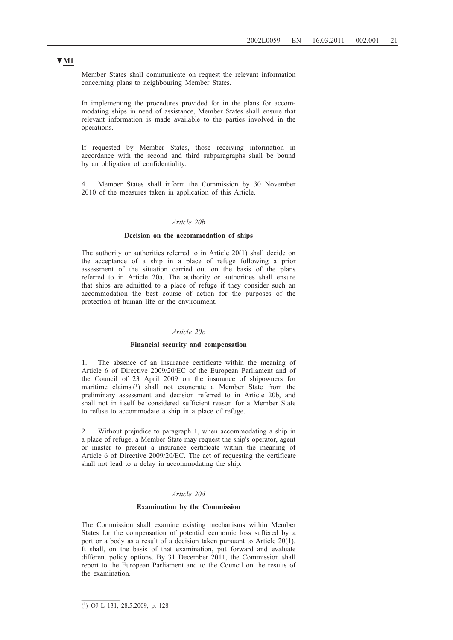Member States shall communicate on request the relevant information concerning plans to neighbouring Member States.

In implementing the procedures provided for in the plans for accommodating ships in need of assistance, Member States shall ensure that relevant information is made available to the parties involved in the operations.

If requested by Member States, those receiving information in accordance with the second and third subparagraphs shall be bound by an obligation of confidentiality.

4. Member States shall inform the Commission by 30 November 2010 of the measures taken in application of this Article.

### *Article 20b*

#### **Decision on the accommodation of ships**

The authority or authorities referred to in Article 20(1) shall decide on the acceptance of a ship in a place of refuge following a prior assessment of the situation carried out on the basis of the plans referred to in Article 20a. The authority or authorities shall ensure that ships are admitted to a place of refuge if they consider such an accommodation the best course of action for the purposes of the protection of human life or the environment.

### *Article 20c*

## **Financial security and compensation**

1. The absence of an insurance certificate within the meaning of Article 6 of Directive 2009/20/EC of the European Parliament and of the Council of 23 April 2009 on the insurance of shipowners for maritime claims (1) shall not exonerate a Member State from the preliminary assessment and decision referred to in Article 20b, and shall not in itself be considered sufficient reason for a Member State to refuse to accommodate a ship in a place of refuge.

2. Without prejudice to paragraph 1, when accommodating a ship in a place of refuge, a Member State may request the ship's operator, agent or master to present a insurance certificate within the meaning of Article 6 of Directive 2009/20/EC. The act of requesting the certificate shall not lead to a delay in accommodating the ship.

#### *Article 20d*

#### **Examination by the Commission**

The Commission shall examine existing mechanisms within Member States for the compensation of potential economic loss suffered by a port or a body as a result of a decision taken pursuant to Article 20(1). It shall, on the basis of that examination, put forward and evaluate different policy options. By 31 December 2011, the Commission shall report to the European Parliament and to the Council on the results of the examination.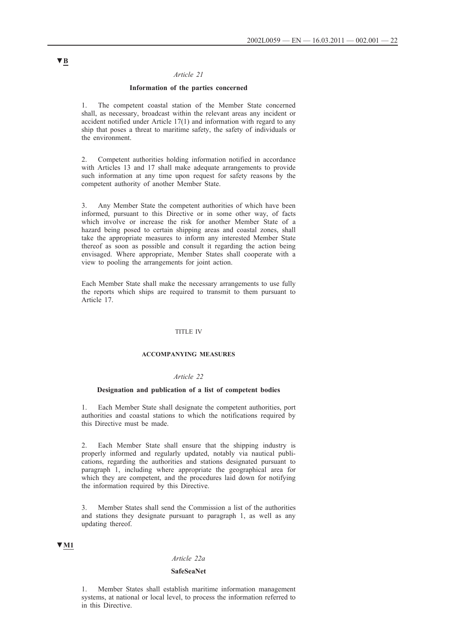## *Article 21*

## **Information of the parties concerned**

1. The competent coastal station of the Member State concerned shall, as necessary, broadcast within the relevant areas any incident or accident notified under Article 17(1) and information with regard to any ship that poses a threat to maritime safety, the safety of individuals or the environment.

2. Competent authorities holding information notified in accordance with Articles 13 and 17 shall make adequate arrangements to provide such information at any time upon request for safety reasons by the competent authority of another Member State.

3. Any Member State the competent authorities of which have been informed, pursuant to this Directive or in some other way, of facts which involve or increase the risk for another Member State of a hazard being posed to certain shipping areas and coastal zones, shall take the appropriate measures to inform any interested Member State thereof as soon as possible and consult it regarding the action being envisaged. Where appropriate, Member States shall cooperate with a view to pooling the arrangements for joint action.

Each Member State shall make the necessary arrangements to use fully the reports which ships are required to transmit to them pursuant to Article 17.

### TITLE IV

### **ACCOMPANYING MEASURES**

#### *Article 22*

## **Designation and publication of a list of competent bodies**

1. Each Member State shall designate the competent authorities, port authorities and coastal stations to which the notifications required by this Directive must be made.

2. Each Member State shall ensure that the shipping industry is properly informed and regularly updated, notably via nautical publications, regarding the authorities and stations designated pursuant to paragraph 1, including where appropriate the geographical area for which they are competent, and the procedures laid down for notifying the information required by this Directive.

3. Member States shall send the Commission a list of the authorities and stations they designate pursuant to paragraph 1, as well as any updating thereof.

## **▼M1**

#### *Article 22a*

### **SafeSeaNet**

1. Member States shall establish maritime information management systems, at national or local level, to process the information referred to in this Directive.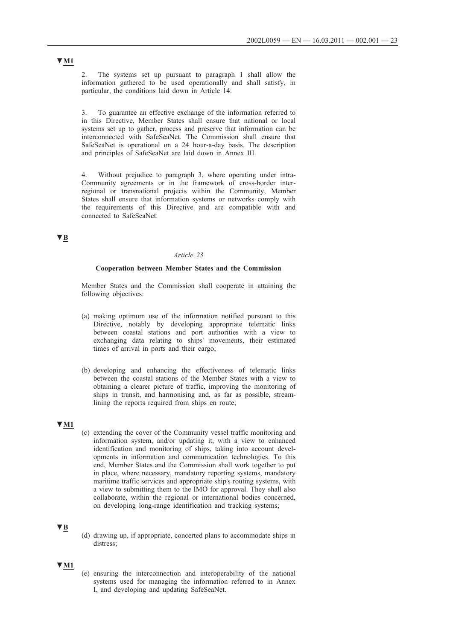2. The systems set up pursuant to paragraph 1 shall allow the information gathered to be used operationally and shall satisfy, in particular, the conditions laid down in Article 14.

3. To guarantee an effective exchange of the information referred to in this Directive, Member States shall ensure that national or local systems set up to gather, process and preserve that information can be interconnected with SafeSeaNet. The Commission shall ensure that SafeSeaNet is operational on a 24 hour-a-day basis. The description and principles of SafeSeaNet are laid down in Annex III.

4. Without prejudice to paragraph 3, where operating under intra-Community agreements or in the framework of cross-border interregional or transnational projects within the Community, Member States shall ensure that information systems or networks comply with the requirements of this Directive and are compatible with and connected to SafeSeaNet.

## **▼B**

## *Article 23*

### **Cooperation between Member States and the Commission**

Member States and the Commission shall cooperate in attaining the following objectives:

- (a) making optimum use of the information notified pursuant to this Directive, notably by developing appropriate telematic links between coastal stations and port authorities with a view to exchanging data relating to ships' movements, their estimated times of arrival in ports and their cargo;
- (b) developing and enhancing the effectiveness of telematic links between the coastal stations of the Member States with a view to obtaining a clearer picture of traffic, improving the monitoring of ships in transit, and harmonising and, as far as possible, streamlining the reports required from ships en route;

## **▼M1**

(c) extending the cover of the Community vessel traffic monitoring and information system, and/or updating it, with a view to enhanced identification and monitoring of ships, taking into account developments in information and communication technologies. To this end, Member States and the Commission shall work together to put in place, where necessary, mandatory reporting systems, mandatory maritime traffic services and appropriate ship's routing systems, with a view to submitting them to the IMO for approval. They shall also collaborate, within the regional or international bodies concerned, on developing long-range identification and tracking systems;

## **▼B**

(d) drawing up, if appropriate, concerted plans to accommodate ships in distress;

### **▼M1**

(e) ensuring the interconnection and interoperability of the national systems used for managing the information referred to in Annex I, and developing and updating SafeSeaNet.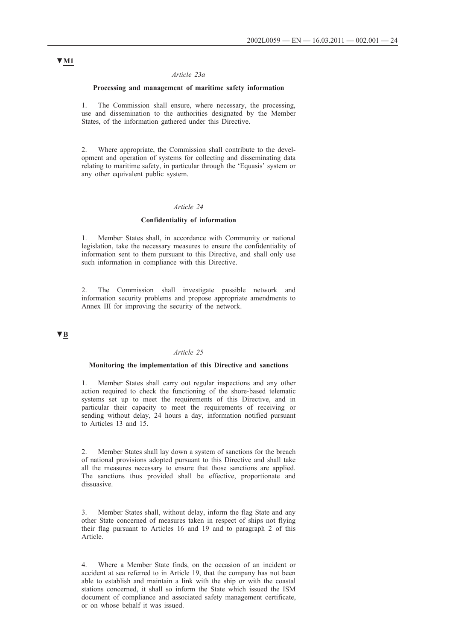## *Article 23a*

## **Processing and management of maritime safety information**

1. The Commission shall ensure, where necessary, the processing, use and dissemination to the authorities designated by the Member States, of the information gathered under this Directive.

2. Where appropriate, the Commission shall contribute to the development and operation of systems for collecting and disseminating data relating to maritime safety, in particular through the 'Equasis' system or any other equivalent public system.

### *Article 24*

## **Confidentiality of information**

1. Member States shall, in accordance with Community or national legislation, take the necessary measures to ensure the confidentiality of information sent to them pursuant to this Directive, and shall only use such information in compliance with this Directive.

2. The Commission shall investigate possible network and information security problems and propose appropriate amendments to Annex III for improving the security of the network.

## **▼B**

## *Article 25*

### **Monitoring the implementation of this Directive and sanctions**

1. Member States shall carry out regular inspections and any other action required to check the functioning of the shore-based telematic systems set up to meet the requirements of this Directive, and in particular their capacity to meet the requirements of receiving or sending without delay, 24 hours a day, information notified pursuant to Articles 13 and 15.

2. Member States shall lay down a system of sanctions for the breach of national provisions adopted pursuant to this Directive and shall take all the measures necessary to ensure that those sanctions are applied. The sanctions thus provided shall be effective, proportionate and dissuasive.

3. Member States shall, without delay, inform the flag State and any other State concerned of measures taken in respect of ships not flying their flag pursuant to Articles 16 and 19 and to paragraph 2 of this Article.

4. Where a Member State finds, on the occasion of an incident or accident at sea referred to in Article 19, that the company has not been able to establish and maintain a link with the ship or with the coastal stations concerned, it shall so inform the State which issued the ISM document of compliance and associated safety management certificate, or on whose behalf it was issued.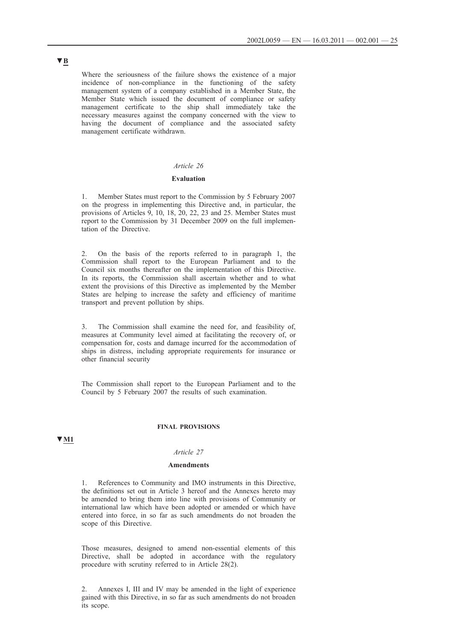Where the seriousness of the failure shows the existence of a major incidence of non-compliance in the functioning of the safety management system of a company established in a Member State, the Member State which issued the document of compliance or safety management certificate to the ship shall immediately take the necessary measures against the company concerned with the view to having the document of compliance and the associated safety management certificate withdrawn.

## *Article 26*

### **Evaluation**

1. Member States must report to the Commission by 5 February 2007 on the progress in implementing this Directive and, in particular, the provisions of Articles 9, 10, 18, 20, 22, 23 and 25. Member States must report to the Commission by 31 December 2009 on the full implementation of the Directive.

2. On the basis of the reports referred to in paragraph 1, the Commission shall report to the European Parliament and to the Council six months thereafter on the implementation of this Directive. In its reports, the Commission shall ascertain whether and to what extent the provisions of this Directive as implemented by the Member States are helping to increase the safety and efficiency of maritime transport and prevent pollution by ships.

3. The Commission shall examine the need for, and feasibility of, measures at Community level aimed at facilitating the recovery of, or compensation for, costs and damage incurred for the accommodation of ships in distress, including appropriate requirements for insurance or other financial security

The Commission shall report to the European Parliament and to the Council by 5 February 2007 the results of such examination.

### **FINAL PROVISIONS**

## **▼M1**

### *Article 27*

## **Amendments**

1. References to Community and IMO instruments in this Directive, the definitions set out in Article 3 hereof and the Annexes hereto may be amended to bring them into line with provisions of Community or international law which have been adopted or amended or which have entered into force, in so far as such amendments do not broaden the scope of this Directive.

Those measures, designed to amend non-essential elements of this Directive, shall be adopted in accordance with the regulatory procedure with scrutiny referred to in Article 28(2).

2. Annexes I, III and IV may be amended in the light of experience gained with this Directive, in so far as such amendments do not broaden its scope.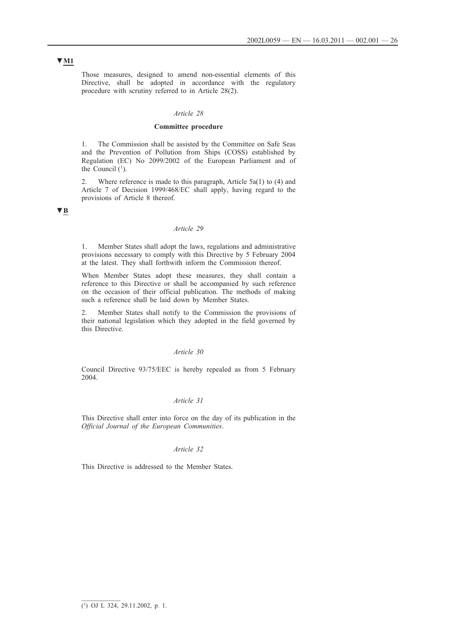Those measures, designed to amend non-essential elements of this Directive, shall be adopted in accordance with the regulatory procedure with scrutiny referred to in Article 28(2).

## *Article 28*

## **Committee procedure**

1. The Commission shall be assisted by the Committee on Safe Seas and the Prevention of Pollution from Ships (COSS) established by Regulation (EC) No 2099/2002 of the European Parliament and of the Council  $(1)$ .

2. Where reference is made to this paragraph, Article 5a(1) to (4) and Article 7 of Decision 1999/468/EC shall apply, having regard to the provisions of Article 8 thereof.

## **▼B**

## *Article 29*

1. Member States shall adopt the laws, regulations and administrative provisions necessary to comply with this Directive by 5 February 2004 at the latest. They shall forthwith inform the Commission thereof.

When Member States adopt these measures, they shall contain a reference to this Directive or shall be accompanied by such reference on the occasion of their official publication. The methods of making such a reference shall be laid down by Member States.

2. Member States shall notify to the Commission the provisions of their national legislation which they adopted in the field governed by this Directive.

#### *Article 30*

Council Directive 93/75/EEC is hereby repealed as from 5 February 2004.

### *Article 31*

This Directive shall enter into force on the day of its publication in the *Official Journal of the European Communities*.

## *Article 32*

This Directive is addressed to the Member States.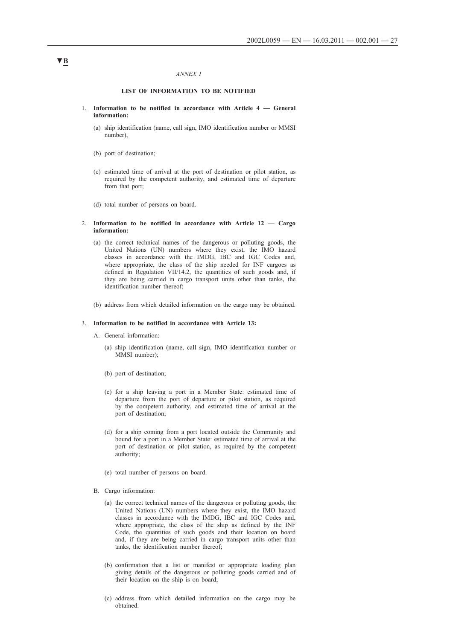#### *ANNEX I*

### **LIST OF INFORMATION TO BE NOTIFIED**

- 1. **Information to be notified in accordance with Article 4 General information:**
	- (a) ship identification (name, call sign, IMO identification number or MMSI number)
	- (b) port of destination;
	- (c) estimated time of arrival at the port of destination or pilot station, as required by the competent authority, and estimated time of departure from that port;
	- (d) total number of persons on board.
- 2. **Information to be notified in accordance with Article 12 Cargo information:**
	- (a) the correct technical names of the dangerous or polluting goods, the United Nations (UN) numbers where they exist, the IMO hazard classes in accordance with the IMDG, IBC and IGC Codes and, where appropriate, the class of the ship needed for INF cargoes as defined in Regulation VII/14.2, the quantities of such goods and, if they are being carried in cargo transport units other than tanks, the identification number thereof;
	- (b) address from which detailed information on the cargo may be obtained.

### 3. **Information to be notified in accordance with Article 13:**

- A. General information:
	- (a) ship identification (name, call sign, IMO identification number or MMSI number);
	- (b) port of destination;
	- (c) for a ship leaving a port in a Member State: estimated time of departure from the port of departure or pilot station, as required by the competent authority, and estimated time of arrival at the port of destination;
	- (d) for a ship coming from a port located outside the Community and bound for a port in a Member State: estimated time of arrival at the port of destination or pilot station, as required by the competent authority;
	- (e) total number of persons on board.
- B. Cargo information:
	- (a) the correct technical names of the dangerous or polluting goods, the United Nations (UN) numbers where they exist, the IMO hazard classes in accordance with the IMDG, IBC and IGC Codes and, where appropriate, the class of the ship as defined by the INF Code, the quantities of such goods and their location on board and, if they are being carried in cargo transport units other than tanks, the identification number thereof;
	- (b) confirmation that a list or manifest or appropriate loading plan giving details of the dangerous or polluting goods carried and of their location on the ship is on board;
	- (c) address from which detailed information on the cargo may be obtained.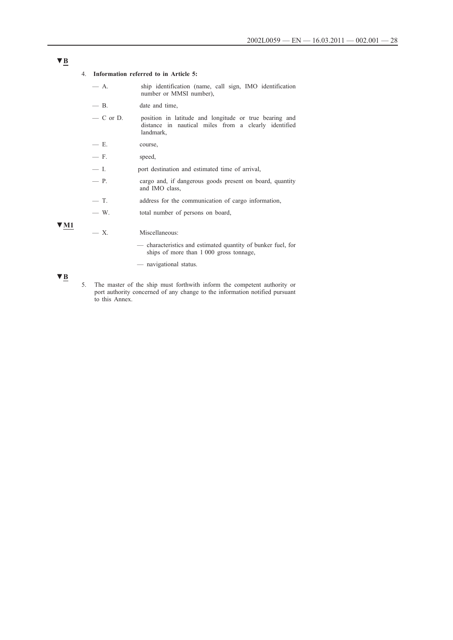| $4_{\cdot}$ | Information referred to in Article 5: |                                                                                                                             |  |
|-------------|---------------------------------------|-----------------------------------------------------------------------------------------------------------------------------|--|
|             | $- A$                                 | ship identification (name, call sign, IMO identification<br>number or MMSI number),                                         |  |
|             | $- B$ .                               | date and time,                                                                                                              |  |
|             | $-$ C or D.                           | position in latitude and longitude or true bearing and<br>distance in nautical miles from a clearly identified<br>landmark, |  |
|             | $- E$                                 | course,                                                                                                                     |  |
|             | $- F.$                                | speed,                                                                                                                      |  |
|             | $-1$ .                                | port destination and estimated time of arrival,                                                                             |  |
|             | $- P$                                 | cargo and, if dangerous goods present on board, quantity<br>and IMO class,                                                  |  |
|             | $-$ T.                                | address for the communication of cargo information,                                                                         |  |
|             | $- W$ .                               | total number of persons on board,                                                                                           |  |
|             |                                       |                                                                                                                             |  |
|             | $- X$                                 | Miscellaneous:                                                                                                              |  |
|             |                                       | — characteristics and estimated quantity of bunker fuel, for<br>ships of more than 1 000 gross tonnage,                     |  |
|             |                                       | — navigational status.                                                                                                      |  |

5. The master of the ship must forthwith inform the competent authority or port authority concerned of any change to the information notified pursuant to this Annex.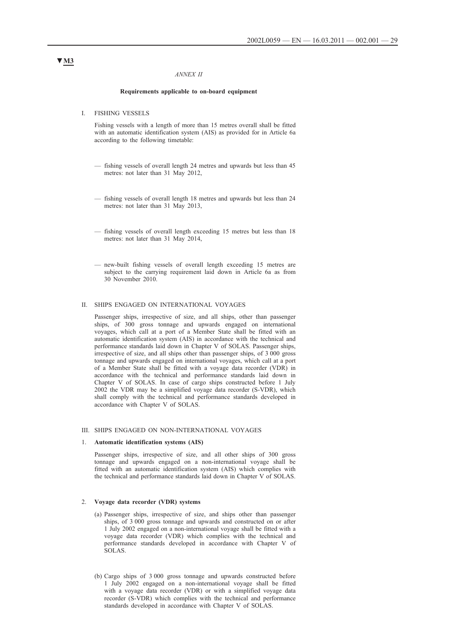#### *ANNEX II*

### **Requirements applicable to on-board equipment**

I. FISHING VESSELS

Fishing vessels with a length of more than 15 metres overall shall be fitted with an automatic identification system (AIS) as provided for in Article 6a according to the following timetable:

- fishing vessels of overall length 24 metres and upwards but less than 45 metres: not later than 31 May 2012,
- fishing vessels of overall length 18 metres and upwards but less than 24 metres: not later than 31 May 2013,
- fishing vessels of overall length exceeding 15 metres but less than 18 metres: not later than 31 May 2014,
- new-built fishing vessels of overall length exceeding 15 metres are subject to the carrying requirement laid down in Article 6a as from 30 November 2010.

### II. SHIPS ENGAGED ON INTERNATIONAL VOYAGES

Passenger ships, irrespective of size, and all ships, other than passenger ships, of 300 gross tonnage and upwards engaged on international voyages, which call at a port of a Member State shall be fitted with an automatic identification system (AIS) in accordance with the technical and performance standards laid down in Chapter V of SOLAS. Passenger ships, irrespective of size, and all ships other than passenger ships, of 3 000 gross tonnage and upwards engaged on international voyages, which call at a port of a Member State shall be fitted with a voyage data recorder (VDR) in accordance with the technical and performance standards laid down in Chapter V of SOLAS. In case of cargo ships constructed before 1 July 2002 the VDR may be a simplified voyage data recorder (S-VDR), which shall comply with the technical and performance standards developed in accordance with Chapter V of SOLAS.

### III. SHIPS ENGAGED ON NON-INTERNATIONAL VOYAGES

#### 1. **Automatic identification systems (AIS)**

Passenger ships, irrespective of size, and all other ships of 300 gross tonnage and upwards engaged on a non-international voyage shall be fitted with an automatic identification system (AIS) which complies with the technical and performance standards laid down in Chapter V of SOLAS.

### 2. **Voyage data recorder (VDR) systems**

- (a) Passenger ships, irrespective of size, and ships other than passenger ships, of 3 000 gross tonnage and upwards and constructed on or after 1 July 2002 engaged on a non-international voyage shall be fitted with a voyage data recorder (VDR) which complies with the technical and performance standards developed in accordance with Chapter V of SOLAS.
- (b) Cargo ships of 3 000 gross tonnage and upwards constructed before 1 July 2002 engaged on a non-international voyage shall be fitted with a voyage data recorder (VDR) or with a simplified voyage data recorder (S-VDR) which complies with the technical and performance standards developed in accordance with Chapter V of SOLAS.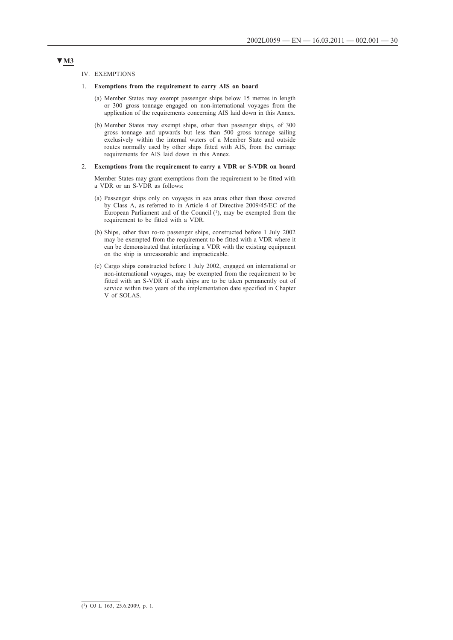### IV. EXEMPTIONS

#### 1. **Exemptions from the requirement to carry AIS on board**

- (a) Member States may exempt passenger ships below 15 metres in length or 300 gross tonnage engaged on non-international voyages from the application of the requirements concerning AIS laid down in this Annex.
- (b) Member States may exempt ships, other than passenger ships, of 300 gross tonnage and upwards but less than 500 gross tonnage sailing exclusively within the internal waters of a Member State and outside routes normally used by other ships fitted with AIS, from the carriage requirements for AIS laid down in this Annex.

#### 2. **Exemptions from the requirement to carry a VDR or S-VDR on board**

Member States may grant exemptions from the requirement to be fitted with a VDR or an S-VDR as follows:

- (a) Passenger ships only on voyages in sea areas other than those covered by Class A, as referred to in Article 4 of Directive 2009/45/EC of the European Parliament and of the Council  $(1)$ , may be exempted from the requirement to be fitted with a VDR.
- (b) Ships, other than ro-ro passenger ships, constructed before 1 July 2002 may be exempted from the requirement to be fitted with a VDR where it can be demonstrated that interfacing a VDR with the existing equipment on the ship is unreasonable and impracticable.
- (c) Cargo ships constructed before 1 July 2002, engaged on international or non-international voyages, may be exempted from the requirement to be fitted with an S-VDR if such ships are to be taken permanently out of service within two years of the implementation date specified in Chapter V of SOLAS.

<sup>(1)</sup> OJ L 163, 25.6.2009, p. 1.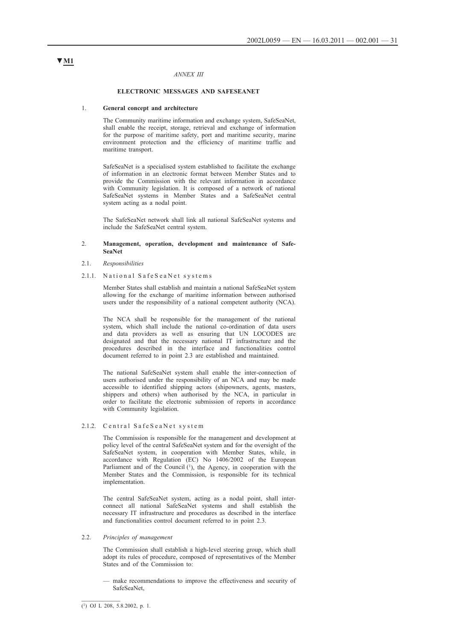#### *ANNEX III*

#### **ELECTRONIC MESSAGES AND SAFESEANET**

#### 1. **General concept and architecture**

The Community maritime information and exchange system, SafeSeaNet, shall enable the receipt, storage, retrieval and exchange of information for the purpose of maritime safety, port and maritime security, marine environment protection and the efficiency of maritime traffic and maritime transport.

SafeSeaNet is a specialised system established to facilitate the exchange of information in an electronic format between Member States and to provide the Commission with the relevant information in accordance with Community legislation. It is composed of a network of national SafeSeaNet systems in Member States and a SafeSeaNet central system acting as a nodal point.

The SafeSeaNet network shall link all national SafeSeaNet systems and include the SafeSeaNet central system.

#### 2. **Management, operation, development and maintenance of Safe-SeaNet**

- 2.1. *Responsibilities*
- 2.1.1. National SafeSeaNet systems

Member States shall establish and maintain a national SafeSeaNet system allowing for the exchange of maritime information between authorised users under the responsibility of a national competent authority (NCA).

The NCA shall be responsible for the management of the national system, which shall include the national co-ordination of data users and data providers as well as ensuring that UN LOCODES are designated and that the necessary national IT infrastructure and the procedures described in the interface and functionalities control document referred to in point 2.3 are established and maintained.

The national SafeSeaNet system shall enable the inter-connection of users authorised under the responsibility of an NCA and may be made accessible to identified shipping actors (shipowners, agents, masters, shippers and others) when authorised by the NCA, in particular in order to facilitate the electronic submission of reports in accordance with Community legislation.

#### 2.1.2. Central SafeSeaNet system

The Commission is responsible for the management and development at policy level of the central SafeSeaNet system and for the oversight of the SafeSeaNet system, in cooperation with Member States, while, in accordance with Regulation (EC) No 1406/2002 of the European Parliament and of the Council (1), the Agency, in cooperation with the Member States and the Commission, is responsible for its technical implementation.

The central SafeSeaNet system, acting as a nodal point, shall interconnect all national SafeSeaNet systems and shall establish the necessary IT infrastructure and procedures as described in the interface and functionalities control document referred to in point 2.3.

### 2.2. *Principles of management*

The Commission shall establish a high-level steering group, which shall adopt its rules of procedure, composed of representatives of the Member States and of the Commission to:

— make recommendations to improve the effectiveness and security of SafeSeaNet,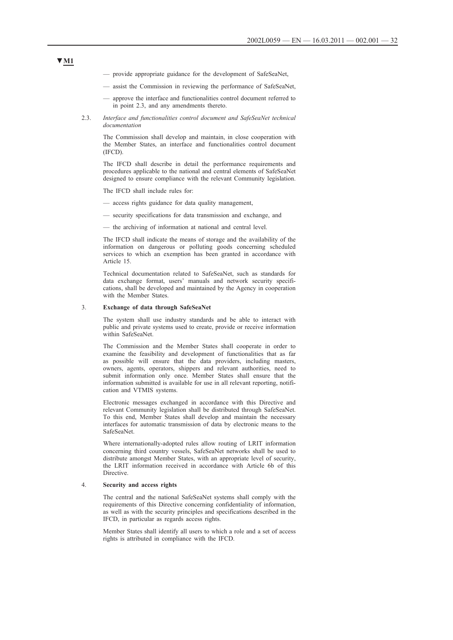- provide appropriate guidance for the development of SafeSeaNet,
- assist the Commission in reviewing the performance of SafeSeaNet,
- approve the interface and functionalities control document referred to in point 2.3, and any amendments thereto.
- 2.3. *Interface and functionalities control document and SafeSeaNet technical documentation*

The Commission shall develop and maintain, in close cooperation with the Member States, an interface and functionalities control document (IFCD).

The IFCD shall describe in detail the performance requirements and procedures applicable to the national and central elements of SafeSeaNet designed to ensure compliance with the relevant Community legislation.

The IFCD shall include rules for:

- access rights guidance for data quality management,
- security specifications for data transmission and exchange, and
- the archiving of information at national and central level.

The IFCD shall indicate the means of storage and the availability of the information on dangerous or polluting goods concerning scheduled services to which an exemption has been granted in accordance with Article 15.

Technical documentation related to SafeSeaNet, such as standards for data exchange format, users' manuals and network security specifications, shall be developed and maintained by the Agency in cooperation with the Member States.

#### 3. **Exchange of data through SafeSeaNet**

The system shall use industry standards and be able to interact with public and private systems used to create, provide or receive information within SafeSeaNet.

The Commission and the Member States shall cooperate in order to examine the feasibility and development of functionalities that as far as possible will ensure that the data providers, including masters, owners, agents, operators, shippers and relevant authorities, need to submit information only once. Member States shall ensure that the information submitted is available for use in all relevant reporting, notification and VTMIS systems.

Electronic messages exchanged in accordance with this Directive and relevant Community legislation shall be distributed through SafeSeaNet. To this end, Member States shall develop and maintain the necessary interfaces for automatic transmission of data by electronic means to the SafeSeaNet.

Where internationally-adopted rules allow routing of LRIT information concerning third country vessels, SafeSeaNet networks shall be used to distribute amongst Member States, with an appropriate level of security, the LRIT information received in accordance with Article 6b of this Directive.

## 4. **Security and access rights**

The central and the national SafeSeaNet systems shall comply with the requirements of this Directive concerning confidentiality of information, as well as with the security principles and specifications described in the IFCD, in particular as regards access rights.

Member States shall identify all users to which a role and a set of access rights is attributed in compliance with the IFCD.